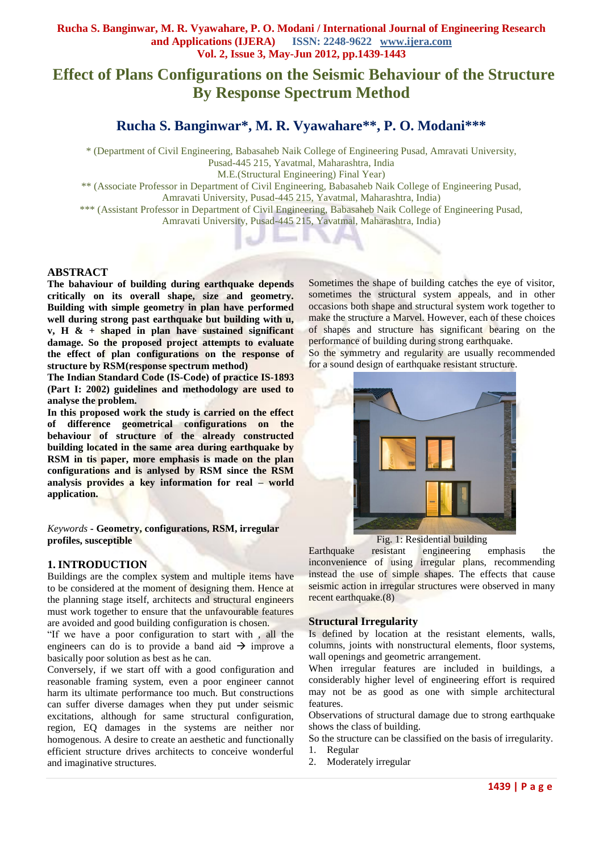# **Effect of Plans Configurations on the Seismic Behaviour of the Structure By Response Spectrum Method**

# **Rucha S. Banginwar\*, M. R. Vyawahare\*\* , P. O. Modani\*\*\***

\* (Department of Civil Engineering, Babasaheb Naik College of Engineering Pusad, Amravati University, Pusad-445 215, Yavatmal, Maharashtra, India M.E.(Structural Engineering) Final Year) \*\* (Associate Professor in Department of Civil Engineering, Babasaheb Naik College of Engineering Pusad, Amravati University, Pusad-445 215, Yavatmal, Maharashtra, India)

\*\*\* (Assistant Professor in Department of Civil Engineering, Babasaheb Naik College of Engineering Pusad, Amravati University, Pusad-445 215, Yavatmal, Maharashtra, India)

#### **ABSTRACT**

**The bahaviour of building during earthquake depends critically on its overall shape, size and geometry. Building with simple geometry in plan have performed well during strong past earthquake but building with u, v, H & + shaped in plan have sustained significant damage. So the proposed project attempts to evaluate the effect of plan configurations on the response of structure by RSM(response spectrum method)**

**The Indian Standard Code (IS-Code) of practice IS-1893 (Part I: 2002) guidelines and methodology are used to analyse the problem.**

**In this proposed work the study is carried on the effect of difference geometrical configurations on the behaviour of structure of the already constructed building located in the same area during earthquake by RSM in tis paper, more emphasis is made on the plan configurations and is anlysed by RSM since the RSM analysis provides a key information for real – world application.**

*Keywords* **- Geometry, configurations, RSM, irregular profiles, susceptible**

#### **1. INTRODUCTION**

Buildings are the complex system and multiple items have to be considered at the moment of designing them. Hence at the planning stage itself, architects and structural engineers must work together to ensure that the unfavourable features are avoided and good building configuration is chosen.

"If we have a poor configuration to start with , all the engineers can do is to provide a band aid  $\rightarrow$  improve a basically poor solution as best as he can.

Conversely, if we start off with a good configuration and reasonable framing system, even a poor engineer cannot harm its ultimate performance too much. But constructions can suffer diverse damages when they put under seismic excitations, although for same structural configuration, region, EQ damages in the systems are neither nor homogenous. A desire to create an aesthetic and functionally efficient structure drives architects to conceive wonderful and imaginative structures.

Sometimes the shape of building catches the eye of visitor, sometimes the structural system appeals, and in other occasions both shape and structural system work together to make the structure a Marvel. However, each of these choices of shapes and structure has significant bearing on the performance of building during strong earthquake.

So the symmetry and regularity are usually recommended for a sound design of earthquake resistant structure.



Fig. 1: Residential building

Earthquake resistant engineering emphasis the inconvenience of using irregular plans, recommending instead the use of simple shapes. The effects that cause seismic action in irregular structures were observed in many recent earthquake.(8)

#### **Structural Irregularity**

Is defined by location at the resistant elements, walls, columns, joints with nonstructural elements, floor systems, wall openings and geometric arrangement.

When irregular features are included in buildings, a considerably higher level of engineering effort is required may not be as good as one with simple architectural features.

Observations of structural damage due to strong earthquake shows the class of building.

So the structure can be classified on the basis of irregularity.

- 1. Regular
- 2. Moderately irregular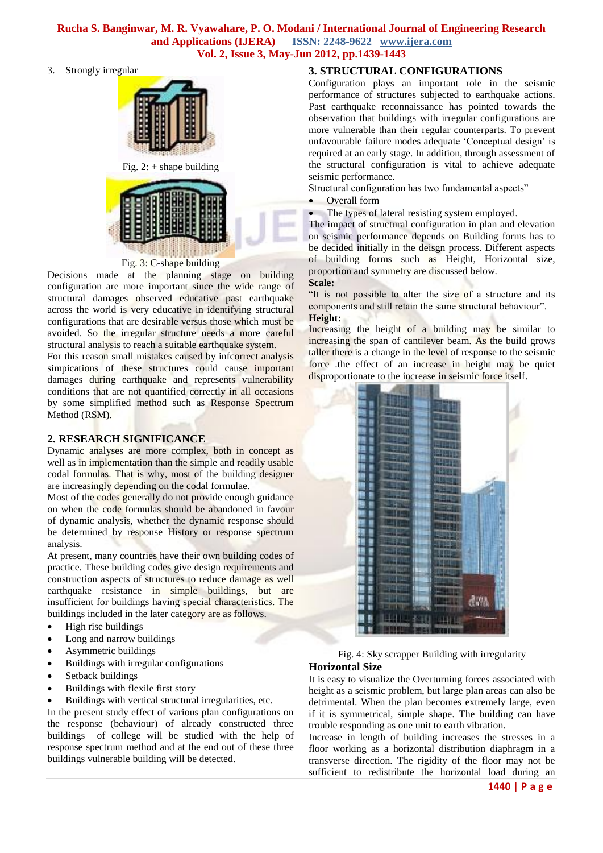3. Strongly irregular



Fig. 3: C-shape building

Decisions made at the planning stage on building configuration are more important since the wide range of structural damages observed educative past earthquake across the world is very educative in identifying structural configurations that are desirable versus those which must be avoided. So the irregular structure needs a more careful structural analysis to reach a suitable earthquake system.

For this reason small mistakes caused by infcorrect analysis simpications of these structures could cause important damages during earthquake and represents vulnerability conditions that are not quantified correctly in all occasions by some simplified method such as Response Spectrum Method (RSM).

## **2. RESEARCH SIGNIFICANCE**

Dynamic analyses are more complex, both in concept as well as in implementation than the simple and readily usable codal formulas. That is why, most of the building designer are increasingly depending on the codal formulae.

Most of the codes generally do not provide enough guidance on when the code formulas should be abandoned in favour of dynamic analysis, whether the dynamic response should be determined by response History or response spectrum analysis.

At present, many countries have their own building codes of practice. These building codes give design requirements and construction aspects of structures to reduce damage as well earthquake resistance in simple buildings, but are insufficient for buildings having special characteristics. The buildings included in the later category are as follows.

- High rise buildings
- Long and narrow buildings
- Asymmetric buildings
- Buildings with irregular configurations
- Setback buildings
- Buildings with flexile first story
- Buildings with vertical structural irregularities, etc.

In the present study effect of various plan configurations on the response (behaviour) of already constructed three buildings of college will be studied with the help of response spectrum method and at the end out of these three buildings vulnerable building will be detected.

#### **3. STRUCTURAL CONFIGURATIONS**

Configuration plays an important role in the seismic performance of structures subjected to earthquake actions. Past earthquake reconnaissance has pointed towards the observation that buildings with irregular configurations are more vulnerable than their regular counterparts. To prevent unfavourable failure modes adequate 'Conceptual design' is required at an early stage. In addition, through assessment of the structural configuration is vital to achieve adequate seismic performance.

Structural configuration has two fundamental aspects"

• Overall form

The types of lateral resisting system employed.

The impact of structural configuration in plan and elevation on seismic performance depends on Building forms has to be decided initially in the deisgn process. Different aspects of building forms such as Height, Horizontal size, proportion and symmetry are discussed below.

**Scale:**

"It is not possible to alter the size of a structure and its components and still retain the same structural behaviour". **Height:**

Increasing the height of a building may be similar to increasing the span of cantilever beam. As the build grows taller there is a change in the level of response to the seismic force .the effect of an increase in height may be quiet disproportionate to the increase in seismic force itself.



Fig. 4: Sky scrapper Building with irregularity **Horizontal Size** 

It is easy to visualize the Overturning forces associated with height as a seismic problem, but large plan areas can also be detrimental. When the plan becomes extremely large, even if it is symmetrical, simple shape. The building can have trouble responding as one unit to earth vibration.

Increase in length of building increases the stresses in a floor working as a horizontal distribution diaphragm in a transverse direction. The rigidity of the floor may not be sufficient to redistribute the horizontal load during an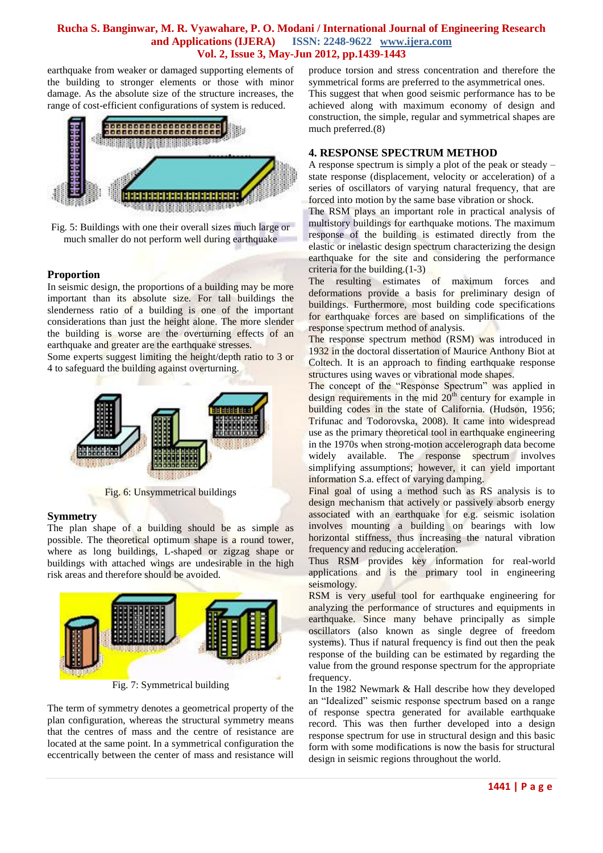earthquake from weaker or damaged supporting elements of the building to stronger elements or those with minor damage. As the absolute size of the structure increases, the range of cost-efficient configurations of system is reduced.



Fig. 5: Buildings with one their overall sizes much large or much smaller do not perform well during earthquake

#### **Proportion**

In seismic design, the proportions of a building may be more important than its absolute size. For tall buildings the slenderness ratio of a building is one of the important considerations than just the height alone. The more slender the building is worse are the overturning effects of an earthquake and greater are the earthquake stresses.

Some experts suggest limiting the height/depth ratio to 3 or 4 to safeguard the building against overturning.



Fig. 6: Unsymmetrical buildings

#### **Symmetry**

The plan shape of a building should be as simple as possible. The theoretical optimum shape is a round tower, where as long buildings, L-shaped or zigzag shape or buildings with attached wings are undesirable in the high risk areas and therefore should be avoided.



Fig. 7: Symmetrical building

The term of symmetry denotes a geometrical property of the plan configuration, whereas the structural symmetry means that the centres of mass and the centre of resistance are located at the same point. In a symmetrical configuration the eccentrically between the center of mass and resistance will produce torsion and stress concentration and therefore the symmetrical forms are preferred to the asymmetrical ones.

This suggest that when good seismic performance has to be achieved along with maximum economy of design and construction, the simple, regular and symmetrical shapes are much preferred.(8)

#### **4. RESPONSE SPECTRUM METHOD**

A response spectrum is simply a plot of the peak or steady – state response (displacement, velocity or acceleration) of a series of oscillators of varying natural frequency, that are forced into motion by the same base vibration or shock.

The RSM plays an important role in practical analysis of multistory buildings for earthquake motions. The maximum response of the building is estimated directly from the elastic or inelastic design spectrum characterizing the design earthquake for the site and considering the performance criteria for the building.(1-3)

The resulting estimates of maximum forces and deformations provide a basis for preliminary design of buildings. Furthermore, most building code specifications for earthquake forces are based on simplifications of the response spectrum method of analysis.

The response spectrum method (RSM) was introduced in 1932 in the doctoral dissertation of Maurice Anthony Biot at Coltech. It is an approach to finding earthquake response structures using waves or vibrational mode shapes.

The concept of the "Response Spectrum" was applied in design requirements in the mid  $20<sup>th</sup>$  century for example in building codes in the state of California. (Hudson, 1956; Trifunac and Todorovska, 2008). It came into widespread use as the primary theoretical tool in earthquake engineering in the 1970s when strong-motion accelerograph data become widely available. The response spectrum involves simplifying assumptions; however, it can yield important information S.a. effect of varying damping.

Final goal of using a method such as RS analysis is to design mechanism that actively or passively absorb energy associated with an earthquake for e.g. seismic isolation involves mounting a building on bearings with low horizontal stiffness, thus increasing the natural vibration frequency and reducing acceleration.

Thus RSM provides key information for real-world applications and is the primary tool in engineering seismology.

RSM is very useful tool for earthquake engineering for analyzing the performance of structures and equipments in earthquake. Since many behave principally as simple oscillators (also known as single degree of freedom systems). Thus if natural frequency is find out then the peak response of the building can be estimated by regarding the value from the ground response spectrum for the appropriate frequency.

In the 1982 Newmark & Hall describe how they developed an "Idealized" seismic response spectrum based on a range of response spectra generated for available earthquake record. This was then further developed into a design response spectrum for use in structural design and this basic form with some modifications is now the basis for structural design in seismic regions throughout the world.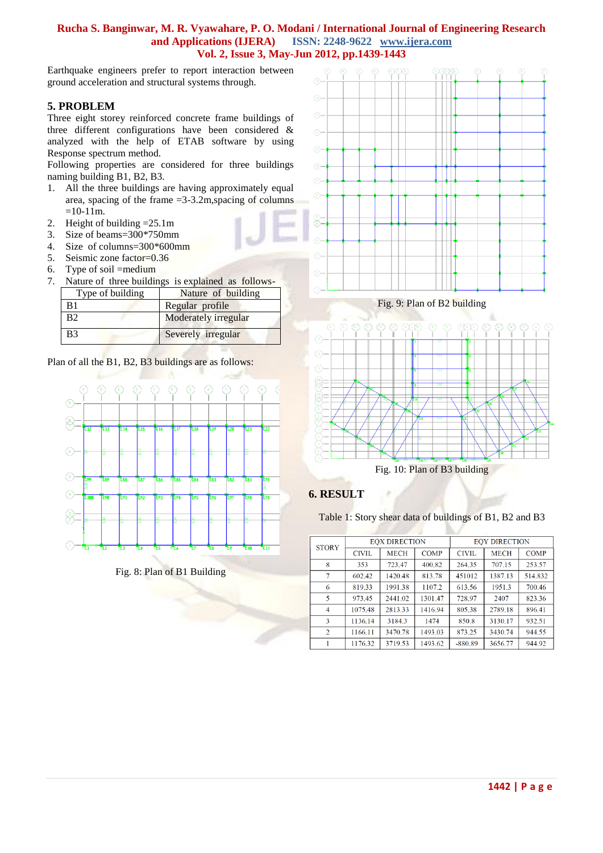Earthquake engineers prefer to report interaction between ground acceleration and structural systems through.

## **5. PROBLEM**

Three eight storey reinforced concrete frame buildings of three different configurations have been considered & analyzed with the help of ETAB software by using Response spectrum method.

Following properties are considered for three buildings naming building B1, B2, B3.

- 1. All the three buildings are having approximately equal area, spacing of the frame  $=3-3.2$ m, spacing of columns  $=10-11m$ .
- 2. Height of building =25.1m
- 3. Size of beams=300\*750mm
- 4. Size of columns=300\*600mm
- 5. Seismic zone factor=0.36
- 6. Type of soil =medium
- 7. Nature of three buildings is explained as follows-

| Type of building | Nature of building   |  |  |  |
|------------------|----------------------|--|--|--|
| B1               | Regular profile      |  |  |  |
| B2               | Moderately irregular |  |  |  |
| B <sub>3</sub>   | Severely irregular   |  |  |  |

Plan of all the B1, B2, B3 buildings are as follows:



Fig. 8: Plan of B1 Building



Fig. 9: Plan of B2 building



Fig. 10: Plan of B3 building

## **6. RESULT**

Table 1: Story shear data of buildings of B1, B2 and B3

| <b>STORY</b>   | <b>EOX DIRECTION</b> |             |             | <b>EOY DIRECTION</b> |             |             |
|----------------|----------------------|-------------|-------------|----------------------|-------------|-------------|
|                | <b>CIVIL</b>         | <b>MECH</b> | <b>COMP</b> | <b>CIVIL</b>         | <b>MECH</b> | <b>COMP</b> |
| 8              | 353                  | 723.47      | 400.82      | 264.35               | 707.15      | 253.57      |
| 7              | 602.42               | 1420.48     | 813.78      | 451012               | 1387.13     | 514.832     |
| 6              | 819.33               | 1991.38     | 1107.2      | 613.56               | 1951.3      | 700.46      |
| 5              | 973.45               | 2441.02     | 1301.47     | 728.97               | 2407        | 823.36      |
| 4              | 1075.48              | 2813.33     | 1416.94     | 805.38               | 2789.18     | 896.41      |
| 3              | 1136.14              | 3184.3      | 1474        | 850.8                | 3130.17     | 932.51      |
| $\overline{2}$ | 1166.11              | 3470.78     | 1493.03     | 873.25               | 3430.74     | 944.55      |
|                | 1176.32              | 3719.53     | 1493.62     | $-880.89$            | 3656.77     | 944.92      |